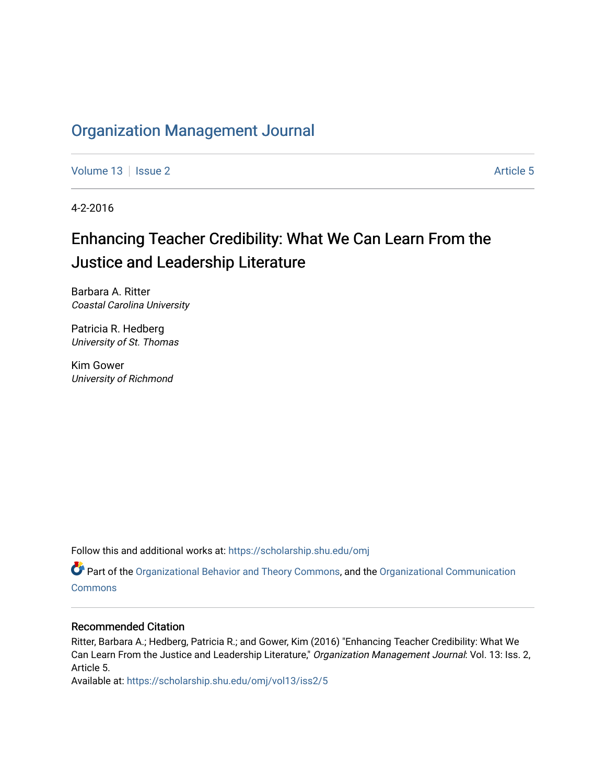## [Organization Management Journal](https://scholarship.shu.edu/omj)

[Volume 13](https://scholarship.shu.edu/omj/vol13) Setup 2 Article 5

4-2-2016

# Enhancing Teacher Credibility: What We Can Learn From the Justice and Leadership Literature

Barbara A. Ritter Coastal Carolina University

Patricia R. Hedberg University of St. Thomas

Kim Gower University of Richmond

Follow this and additional works at: [https://scholarship.shu.edu/omj](https://scholarship.shu.edu/omj?utm_source=scholarship.shu.edu%2Fomj%2Fvol13%2Fiss2%2F5&utm_medium=PDF&utm_campaign=PDFCoverPages) 

Part of the [Organizational Behavior and Theory Commons,](http://network.bepress.com/hgg/discipline/639?utm_source=scholarship.shu.edu%2Fomj%2Fvol13%2Fiss2%2F5&utm_medium=PDF&utm_campaign=PDFCoverPages) and the [Organizational Communication](http://network.bepress.com/hgg/discipline/335?utm_source=scholarship.shu.edu%2Fomj%2Fvol13%2Fiss2%2F5&utm_medium=PDF&utm_campaign=PDFCoverPages) **[Commons](http://network.bepress.com/hgg/discipline/335?utm_source=scholarship.shu.edu%2Fomj%2Fvol13%2Fiss2%2F5&utm_medium=PDF&utm_campaign=PDFCoverPages)** 

### Recommended Citation

Ritter, Barbara A.; Hedberg, Patricia R.; and Gower, Kim (2016) "Enhancing Teacher Credibility: What We Can Learn From the Justice and Leadership Literature," Organization Management Journal: Vol. 13: Iss. 2, Article 5.

Available at: [https://scholarship.shu.edu/omj/vol13/iss2/5](https://scholarship.shu.edu/omj/vol13/iss2/5?utm_source=scholarship.shu.edu%2Fomj%2Fvol13%2Fiss2%2F5&utm_medium=PDF&utm_campaign=PDFCoverPages)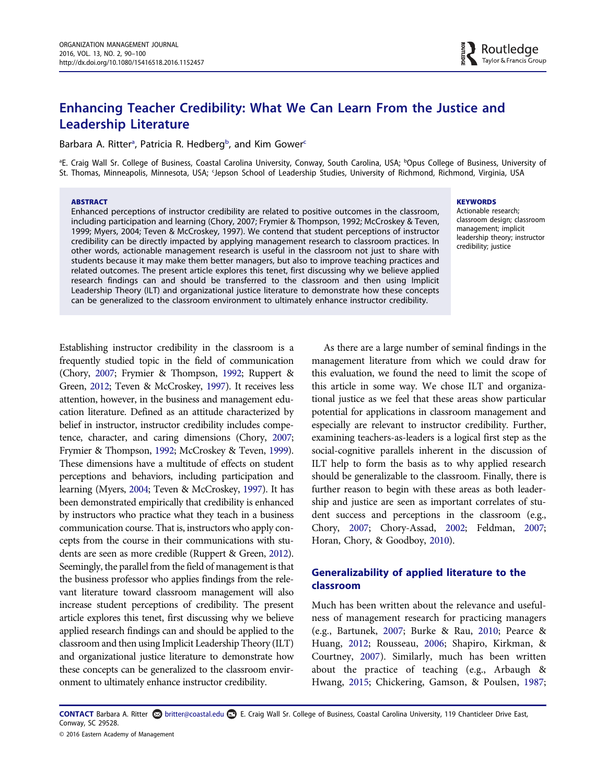## Enhancing Teacher Credibility: What We Can Learn From the Justice and Leadership Literature

B[a](#page-1-0)rbara A. Ritter<sup>a</sup>, Patri[c](#page-1-1)ia R. Hedberg<sup>b</sup>, and Kim Gower<sup>c</sup>

<span id="page-1-1"></span><span id="page-1-0"></span><sup>a</sup>E. Craig Wall Sr. College of Business, Coastal Carolina University, Conway, South Carolina, USA; <sup>b</sup>Opus College of Business, University of St. Thomas, Minneapolis, Minnesota, USA; <sup>c</sup>Jepson School of Leadership Studies, University of Richmond, Richmond, Virginia, USA

#### ABSTRACT

Enhanced perceptions of instructor credibility are related to positive outcomes in the classroom, including participation and learning (Chory, 2007; Frymier & Thompson, 1992; McCroskey & Teven, 1999; Myers, 2004; Teven & McCroskey, 1997). We contend that student perceptions of instructor credibility can be directly impacted by applying management research to classroom practices. In other words, actionable management research is useful in the classroom not just to share with students because it may make them better managers, but also to improve teaching practices and related outcomes. The present article explores this tenet, first discussing why we believe applied research findings can and should be transferred to the classroom and then using Implicit Leadership Theory (ILT) and organizational justice literature to demonstrate how these concepts can be generalized to the classroom environment to ultimately enhance instructor credibility.

#### **KEYWORDS**

Actionable research; classroom design; classroom management; implicit leadership theory; instructor credibility; justice

Establishing instructor credibility in the classroom is a frequently studied topic in the field of communication (Chory, [2007;](#page-8-0) Frymier & Thompson, [1992](#page-9-0); Ruppert & Green, [2012](#page-10-0); Teven & McCroskey, [1997\)](#page-10-1). It receives less attention, however, in the business and management education literature. Defined as an attitude characterized by belief in instructor, instructor credibility includes competence, character, and caring dimensions (Chory, [2007;](#page-8-0) Frymier & Thompson, [1992;](#page-9-0) McCroskey & Teven, [1999](#page-10-2)). These dimensions have a multitude of effects on student perceptions and behaviors, including participation and learning (Myers, [2004;](#page-10-3) Teven & McCroskey, [1997\)](#page-10-1). It has been demonstrated empirically that credibility is enhanced by instructors who practice what they teach in a business communication course. That is, instructors who apply concepts from the course in their communications with students are seen as more credible (Ruppert & Green, [2012](#page-10-0)). Seemingly, the parallel from the field of management is that the business professor who applies findings from the relevant literature toward classroom management will also increase student perceptions of credibility. The present article explores this tenet, first discussing why we believe applied research findings can and should be applied to the classroom and then using Implicit Leadership Theory (ILT) and organizational justice literature to demonstrate how these concepts can be generalized to the classroom environment to ultimately enhance instructor credibility.

As there are a large number of seminal findings in the management literature from which we could draw for this evaluation, we found the need to limit the scope of this article in some way. We chose ILT and organizational justice as we feel that these areas show particular potential for applications in classroom management and especially are relevant to instructor credibility. Further, examining teachers-as-leaders is a logical first step as the social-cognitive parallels inherent in the discussion of ILT help to form the basis as to why applied research should be generalizable to the classroom. Finally, there is further reason to begin with these areas as both leadership and justice are seen as important correlates of student success and perceptions in the classroom (e.g., Chory, [2007;](#page-8-0) Chory-Assad, [2002;](#page-9-1) Feldman, [2007;](#page-9-2) Horan, Chory, & Goodboy, [2010\)](#page-9-3).

#### Generalizability of applied literature to the classroom

Much has been written about the relevance and usefulness of management research for practicing managers (e.g., Bartunek, [2007](#page-8-1); Burke & Rau, [2010;](#page-8-2) Pearce & Huang, [2012](#page-10-4); Rousseau, [2006;](#page-10-5) Shapiro, Kirkman, & Courtney, [2007](#page-10-6)). Similarly, much has been written about the practice of teaching (e.g., Arbaugh & Hwang, [2015;](#page-8-3) Chickering, Gamson, & Poulsen, [1987;](#page-8-4)

CONTACT Barbara A. Ritter ۞ britter@coastal.edu **■** E. Craig Wall Sr. College of Business, Coastal Carolina University, 119 Chanticleer Drive East, Conway, SC 29528.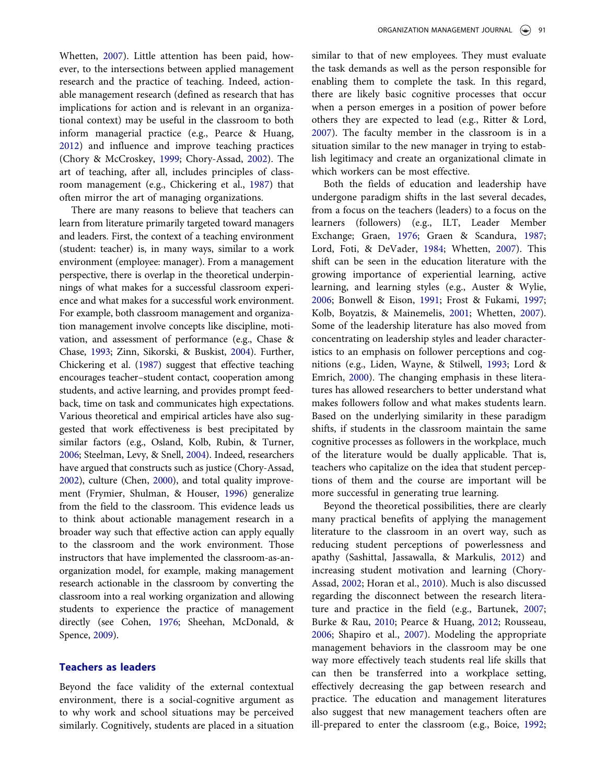Whetten, [2007](#page-11-0)). Little attention has been paid, however, to the intersections between applied management research and the practice of teaching. Indeed, actionable management research (defined as research that has implications for action and is relevant in an organizational context) may be useful in the classroom to both inform managerial practice (e.g., Pearce & Huang, [2012](#page-10-4)) and influence and improve teaching practices (Chory & McCroskey, [1999](#page-8-5); Chory-Assad, [2002](#page-9-1)). The art of teaching, after all, includes principles of classroom management (e.g., Chickering et al., [1987](#page-8-4)) that often mirror the art of managing organizations.

There are many reasons to believe that teachers can learn from literature primarily targeted toward managers and leaders. First, the context of a teaching environment (student: teacher) is, in many ways, similar to a work environment (employee: manager). From a management perspective, there is overlap in the theoretical underpinnings of what makes for a successful classroom experience and what makes for a successful work environment. For example, both classroom management and organization management involve concepts like discipline, motivation, and assessment of performance (e.g., Chase & Chase, [1993](#page-8-6); Zinn, Sikorski, & Buskist, [2004\)](#page-11-1). Further, Chickering et al. [\(1987\)](#page-8-4) suggest that effective teaching encourages teacher–student contact, cooperation among students, and active learning, and provides prompt feedback, time on task and communicates high expectations. Various theoretical and empirical articles have also suggested that work effectiveness is best precipitated by similar factors (e.g., Osland, Kolb, Rubin, & Turner, [2006;](#page-10-7) Steelman, Levy, & Snell, [2004\)](#page-10-8). Indeed, researchers have argued that constructs such as justice (Chory-Assad, [2002\)](#page-9-1), culture (Chen, [2000](#page-8-7)), and total quality improvement (Frymier, Shulman, & Houser, [1996\)](#page-9-4) generalize from the field to the classroom. This evidence leads us to think about actionable management research in a broader way such that effective action can apply equally to the classroom and the work environment. Those instructors that have implemented the classroom-as-anorganization model, for example, making management research actionable in the classroom by converting the classroom into a real working organization and allowing students to experience the practice of management directly (see Cohen, [1976;](#page-9-5) Sheehan, McDonald, & Spence, [2009](#page-10-9)).

#### Teachers as leaders

Beyond the face validity of the external contextual environment, there is a social-cognitive argument as to why work and school situations may be perceived similarly. Cognitively, students are placed in a situation similar to that of new employees. They must evaluate the task demands as well as the person responsible for enabling them to complete the task. In this regard, there are likely basic cognitive processes that occur when a person emerges in a position of power before others they are expected to lead (e.g., Ritter & Lord, [2007](#page-10-10)). The faculty member in the classroom is in a situation similar to the new manager in trying to establish legitimacy and create an organizational climate in which workers can be most effective.

Both the fields of education and leadership have undergone paradigm shifts in the last several decades, from a focus on the teachers (leaders) to a focus on the learners (followers) (e.g., ILT, Leader Member Exchange; Graen, [1976;](#page-9-6) Graen & Scandura, [1987;](#page-9-7) Lord, Foti, & DeVader, [1984](#page-10-11); Whetten, [2007](#page-11-0)). This shift can be seen in the education literature with the growing importance of experiential learning, active learning, and learning styles (e.g., Auster & Wylie, [2006](#page-8-8); Bonwell & Eison, [1991](#page-8-9); Frost & Fukami, [1997;](#page-9-8) Kolb, Boyatzis, & Mainemelis, [2001](#page-9-9); Whetten, [2007\)](#page-11-0). Some of the leadership literature has also moved from concentrating on leadership styles and leader characteristics to an emphasis on follower perceptions and cognitions (e.g., Liden, Wayne, & Stilwell, [1993](#page-9-10); Lord & Emrich, [2000\)](#page-10-12). The changing emphasis in these literatures has allowed researchers to better understand what makes followers follow and what makes students learn. Based on the underlying similarity in these paradigm shifts, if students in the classroom maintain the same cognitive processes as followers in the workplace, much of the literature would be dually applicable. That is, teachers who capitalize on the idea that student perceptions of them and the course are important will be more successful in generating true learning.

Beyond the theoretical possibilities, there are clearly many practical benefits of applying the management literature to the classroom in an overt way, such as reducing student perceptions of powerlessness and apathy (Sashittal, Jassawalla, & Markulis, [2012\)](#page-10-13) and increasing student motivation and learning (Chory-Assad, [2002](#page-9-1); Horan et al., [2010\)](#page-9-3). Much is also discussed regarding the disconnect between the research literature and practice in the field (e.g., Bartunek, [2007;](#page-8-1) Burke & Rau, [2010;](#page-8-2) Pearce & Huang, [2012](#page-10-4); Rousseau, [2006](#page-10-5); Shapiro et al., [2007\)](#page-10-6). Modeling the appropriate management behaviors in the classroom may be one way more effectively teach students real life skills that can then be transferred into a workplace setting, effectively decreasing the gap between research and practice. The education and management literatures also suggest that new management teachers often are ill-prepared to enter the classroom (e.g., Boice, [1992;](#page-8-10)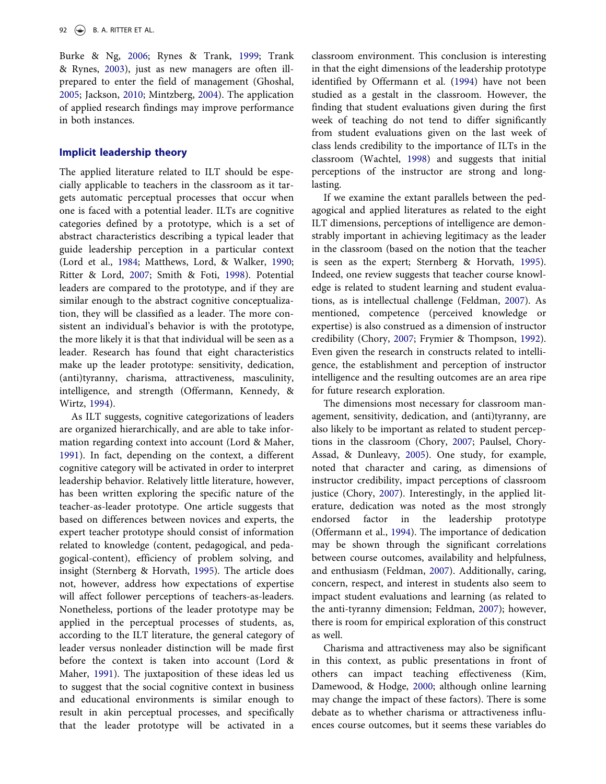Burke & Ng, [2006](#page-8-11); Rynes & Trank, [1999;](#page-10-14) Trank & Rynes, [2003\)](#page-10-15), just as new managers are often illprepared to enter the field of management (Ghoshal, [2005](#page-9-11); Jackson, [2010;](#page-9-12) Mintzberg, [2004](#page-10-16)). The application of applied research findings may improve performance in both instances.

#### Implicit leadership theory

The applied literature related to ILT should be especially applicable to teachers in the classroom as it targets automatic perceptual processes that occur when one is faced with a potential leader. ILTs are cognitive categories defined by a prototype, which is a set of abstract characteristics describing a typical leader that guide leadership perception in a particular context (Lord et al., [1984](#page-10-11); Matthews, Lord, & Walker, [1990;](#page-10-17) Ritter & Lord, [2007](#page-10-10); Smith & Foti, [1998\)](#page-10-18). Potential leaders are compared to the prototype, and if they are similar enough to the abstract cognitive conceptualization, they will be classified as a leader. The more consistent an individual's behavior is with the prototype, the more likely it is that that individual will be seen as a leader. Research has found that eight characteristics make up the leader prototype: sensitivity, dedication, (anti)tyranny, charisma, attractiveness, masculinity, intelligence, and strength (Offermann, Kennedy, & Wirtz, [1994\)](#page-10-19).

As ILT suggests, cognitive categorizations of leaders are organized hierarchically, and are able to take information regarding context into account (Lord & Maher, [1991](#page-10-20)). In fact, depending on the context, a different cognitive category will be activated in order to interpret leadership behavior. Relatively little literature, however, has been written exploring the specific nature of the teacher-as-leader prototype. One article suggests that based on differences between novices and experts, the expert teacher prototype should consist of information related to knowledge (content, pedagogical, and pedagogical-content), efficiency of problem solving, and insight (Sternberg & Horvath, [1995](#page-10-21)). The article does not, however, address how expectations of expertise will affect follower perceptions of teachers-as-leaders. Nonetheless, portions of the leader prototype may be applied in the perceptual processes of students, as, according to the ILT literature, the general category of leader versus nonleader distinction will be made first before the context is taken into account (Lord & Maher, [1991\)](#page-10-20). The juxtaposition of these ideas led us to suggest that the social cognitive context in business and educational environments is similar enough to result in akin perceptual processes, and specifically that the leader prototype will be activated in a

classroom environment. This conclusion is interesting in that the eight dimensions of the leadership prototype identified by Offermann et al. [\(1994](#page-10-19)) have not been studied as a gestalt in the classroom. However, the finding that student evaluations given during the first week of teaching do not tend to differ significantly from student evaluations given on the last week of class lends credibility to the importance of ILTs in the classroom (Wachtel, [1998](#page-11-2)) and suggests that initial perceptions of the instructor are strong and longlasting.

If we examine the extant parallels between the pedagogical and applied literatures as related to the eight ILT dimensions, perceptions of intelligence are demonstrably important in achieving legitimacy as the leader in the classroom (based on the notion that the teacher is seen as the expert; Sternberg & Horvath, [1995\)](#page-10-21). Indeed, one review suggests that teacher course knowledge is related to student learning and student evaluations, as is intellectual challenge (Feldman, [2007](#page-9-2)). As mentioned, competence (perceived knowledge or expertise) is also construed as a dimension of instructor credibility (Chory, [2007](#page-8-0); Frymier & Thompson, [1992\)](#page-9-0). Even given the research in constructs related to intelligence, the establishment and perception of instructor intelligence and the resulting outcomes are an area ripe for future research exploration.

The dimensions most necessary for classroom management, sensitivity, dedication, and (anti)tyranny, are also likely to be important as related to student perceptions in the classroom (Chory, [2007](#page-8-0); Paulsel, Chory-Assad, & Dunleavy, [2005\)](#page-10-22). One study, for example, noted that character and caring, as dimensions of instructor credibility, impact perceptions of classroom justice (Chory, [2007](#page-8-0)). Interestingly, in the applied literature, dedication was noted as the most strongly endorsed factor in the leadership prototype (Offermann et al., [1994](#page-10-19)). The importance of dedication may be shown through the significant correlations between course outcomes, availability and helpfulness, and enthusiasm (Feldman, [2007](#page-9-2)). Additionally, caring, concern, respect, and interest in students also seem to impact student evaluations and learning (as related to the anti-tyranny dimension; Feldman, [2007\)](#page-9-2); however, there is room for empirical exploration of this construct as well.

Charisma and attractiveness may also be significant in this context, as public presentations in front of others can impact teaching effectiveness (Kim, Damewood, & Hodge, [2000](#page-9-13); although online learning may change the impact of these factors). There is some debate as to whether charisma or attractiveness influences course outcomes, but it seems these variables do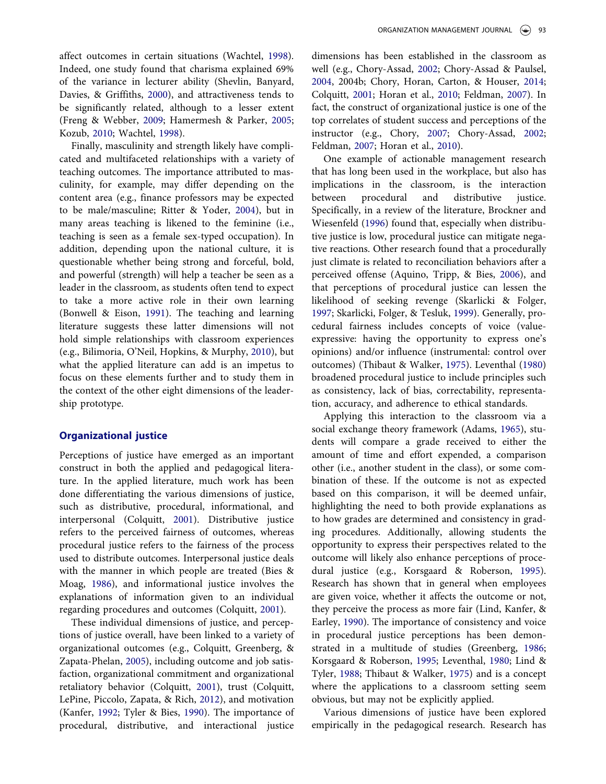affect outcomes in certain situations (Wachtel, [1998\)](#page-11-2). Indeed, one study found that charisma explained 69% of the variance in lecturer ability (Shevlin, Banyard, Davies, & Griffiths, [2000](#page-10-23)), and attractiveness tends to be significantly related, although to a lesser extent (Freng & Webber, [2009;](#page-9-14) Hamermesh & Parker, [2005;](#page-9-15) Kozub, [2010;](#page-9-16) Wachtel, [1998\)](#page-11-2).

Finally, masculinity and strength likely have complicated and multifaceted relationships with a variety of teaching outcomes. The importance attributed to masculinity, for example, may differ depending on the content area (e.g., finance professors may be expected to be male/masculine; Ritter & Yoder, [2004](#page-10-24)), but in many areas teaching is likened to the feminine (i.e., teaching is seen as a female sex-typed occupation). In addition, depending upon the national culture, it is questionable whether being strong and forceful, bold, and powerful (strength) will help a teacher be seen as a leader in the classroom, as students often tend to expect to take a more active role in their own learning (Bonwell & Eison, [1991](#page-8-9)). The teaching and learning literature suggests these latter dimensions will not hold simple relationships with classroom experiences (e.g., Bilimoria, O'Neil, Hopkins, & Murphy, [2010\)](#page-8-12), but what the applied literature can add is an impetus to focus on these elements further and to study them in the context of the other eight dimensions of the leadership prototype.

#### Organizational justice

Perceptions of justice have emerged as an important construct in both the applied and pedagogical literature. In the applied literature, much work has been done differentiating the various dimensions of justice, such as distributive, procedural, informational, and interpersonal (Colquitt, [2001](#page-9-17)). Distributive justice refers to the perceived fairness of outcomes, whereas procedural justice refers to the fairness of the process used to distribute outcomes. Interpersonal justice deals with the manner in which people are treated (Bies & Moag, [1986\)](#page-8-13), and informational justice involves the explanations of information given to an individual regarding procedures and outcomes (Colquitt, [2001](#page-9-17)).

These individual dimensions of justice, and perceptions of justice overall, have been linked to a variety of organizational outcomes (e.g., Colquitt, Greenberg, & Zapata-Phelan, [2005](#page-9-18)), including outcome and job satisfaction, organizational commitment and organizational retaliatory behavior (Colquitt, [2001\)](#page-9-17), trust (Colquitt, LePine, Piccolo, Zapata, & Rich, [2012\)](#page-9-19), and motivation (Kanfer, [1992;](#page-9-20) Tyler & Bies, [1990](#page-11-3)). The importance of procedural, distributive, and interactional justice

dimensions has been established in the classroom as well (e.g., Chory-Assad, [2002](#page-9-1); Chory-Assad & Paulsel, [2004](#page-9-21), 2004b; Chory, Horan, Carton, & Houser, [2014;](#page-8-14) Colquitt, [2001;](#page-9-17) Horan et al., [2010;](#page-9-3) Feldman, [2007\)](#page-9-2). In fact, the construct of organizational justice is one of the top correlates of student success and perceptions of the instructor (e.g., Chory, [2007](#page-8-0); Chory-Assad, [2002;](#page-9-1) Feldman, [2007](#page-9-2); Horan et al., [2010\)](#page-9-3).

One example of actionable management research that has long been used in the workplace, but also has implications in the classroom, is the interaction between procedural and distributive justice. Specifically, in a review of the literature, Brockner and Wiesenfeld ([1996](#page-8-15)) found that, especially when distributive justice is low, procedural justice can mitigate negative reactions. Other research found that a procedurally just climate is related to reconciliation behaviors after a perceived offense (Aquino, Tripp, & Bies, [2006](#page-8-16)), and that perceptions of procedural justice can lessen the likelihood of seeking revenge (Skarlicki & Folger, [1997](#page-10-25); Skarlicki, Folger, & Tesluk, [1999](#page-10-26)). Generally, procedural fairness includes concepts of voice (valueexpressive: having the opportunity to express one's opinions) and/or influence (instrumental: control over outcomes) (Thibaut & Walker, [1975\)](#page-10-27). Leventhal [\(1980](#page-9-22)) broadened procedural justice to include principles such as consistency, lack of bias, correctability, representation, accuracy, and adherence to ethical standards.

Applying this interaction to the classroom via a social exchange theory framework (Adams, [1965\)](#page-8-17), students will compare a grade received to either the amount of time and effort expended, a comparison other (i.e., another student in the class), or some combination of these. If the outcome is not as expected based on this comparison, it will be deemed unfair, highlighting the need to both provide explanations as to how grades are determined and consistency in grading procedures. Additionally, allowing students the opportunity to express their perspectives related to the outcome will likely also enhance perceptions of procedural justice (e.g., Korsgaard & Roberson, [1995\)](#page-9-23). Research has shown that in general when employees are given voice, whether it affects the outcome or not, they perceive the process as more fair (Lind, Kanfer, & Earley, [1990](#page-10-28)). The importance of consistency and voice in procedural justice perceptions has been demonstrated in a multitude of studies (Greenberg, [1986;](#page-9-24) Korsgaard & Roberson, [1995;](#page-9-23) Leventhal, [1980;](#page-9-22) Lind & Tyler, [1988](#page-10-29); Thibaut & Walker, [1975](#page-10-27)) and is a concept where the applications to a classroom setting seem obvious, but may not be explicitly applied.

Various dimensions of justice have been explored empirically in the pedagogical research. Research has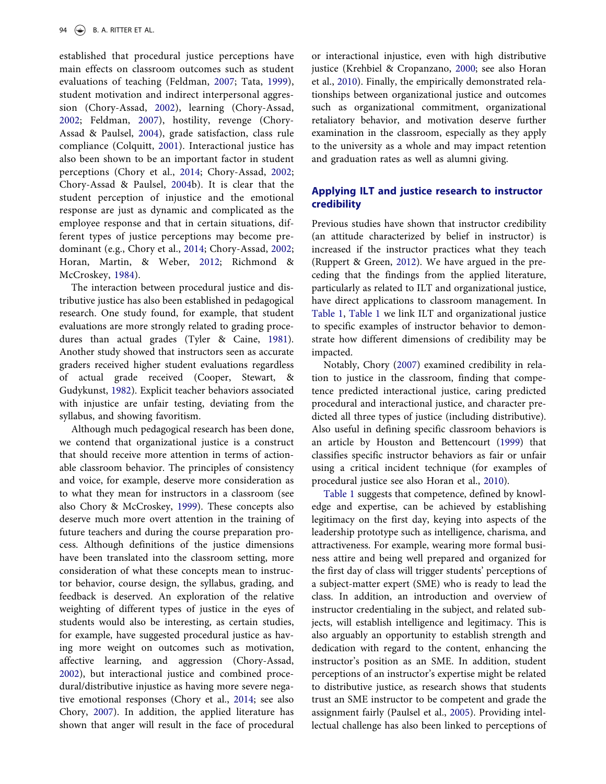established that procedural justice perceptions have main effects on classroom outcomes such as student evaluations of teaching (Feldman, [2007;](#page-9-2) Tata, [1999\)](#page-10-30), student motivation and indirect interpersonal aggression (Chory-Assad, [2002](#page-9-1)), learning (Chory-Assad, [2002;](#page-9-1) Feldman, [2007](#page-9-2)), hostility, revenge (Chory-Assad & Paulsel, [2004](#page-9-21)), grade satisfaction, class rule compliance (Colquitt, [2001\)](#page-9-17). Interactional justice has also been shown to be an important factor in student perceptions (Chory et al., [2014](#page-8-14); Chory-Assad, [2002;](#page-9-1) Chory-Assad & Paulsel, [2004b](#page-9-21)). It is clear that the student perception of injustice and the emotional response are just as dynamic and complicated as the employee response and that in certain situations, different types of justice perceptions may become predominant (e.g., Chory et al., [2014](#page-8-14); Chory-Assad, [2002;](#page-9-1) Horan, Martin, & Weber, [2012](#page-9-25); Richmond & McCroskey, [1984\)](#page-10-31).

The interaction between procedural justice and distributive justice has also been established in pedagogical research. One study found, for example, that student evaluations are more strongly related to grading procedures than actual grades (Tyler & Caine, [1981\)](#page-11-4). Another study showed that instructors seen as accurate graders received higher student evaluations regardless of actual grade received (Cooper, Stewart, & Gudykunst, [1982\)](#page-9-26). Explicit teacher behaviors associated with injustice are unfair testing, deviating from the syllabus, and showing favoritism.

Although much pedagogical research has been done, we contend that organizational justice is a construct that should receive more attention in terms of actionable classroom behavior. The principles of consistency and voice, for example, deserve more consideration as to what they mean for instructors in a classroom (see also Chory & McCroskey, [1999](#page-8-5)). These concepts also deserve much more overt attention in the training of future teachers and during the course preparation process. Although definitions of the justice dimensions have been translated into the classroom setting, more consideration of what these concepts mean to instructor behavior, course design, the syllabus, grading, and feedback is deserved. An exploration of the relative weighting of different types of justice in the eyes of students would also be interesting, as certain studies, for example, have suggested procedural justice as having more weight on outcomes such as motivation, affective learning, and aggression (Chory-Assad, [2002](#page-9-1)), but interactional justice and combined procedural/distributive injustice as having more severe negative emotional responses (Chory et al., [2014](#page-8-14); see also Chory, [2007\)](#page-8-0). In addition, the applied literature has shown that anger will result in the face of procedural

or interactional injustice, even with high distributive justice (Krehbiel & Cropanzano, [2000](#page-9-27); see also Horan et al., [2010](#page-9-3)). Finally, the empirically demonstrated relationships between organizational justice and outcomes such as organizational commitment, organizational retaliatory behavior, and motivation deserve further examination in the classroom, especially as they apply to the university as a whole and may impact retention and graduation rates as well as alumni giving.

#### Applying ILT and justice research to instructor credibility

Previous studies have shown that instructor credibility (an attitude characterized by belief in instructor) is increased if the instructor practices what they teach (Ruppert & Green, [2012\)](#page-10-0). We have argued in the preceding that the findings from the applied literature, particularly as related to ILT and organizational justice, have direct applications to classroom management. In [Table 1,](#page-6-0) [Table 1](#page-6-0) we link ILT and organizational justice to specific examples of instructor behavior to demonstrate how different dimensions of credibility may be impacted.

Notably, Chory [\(2007](#page-8-0)) examined credibility in relation to justice in the classroom, finding that competence predicted interactional justice, caring predicted procedural and interactional justice, and character predicted all three types of justice (including distributive). Also useful in defining specific classroom behaviors is an article by Houston and Bettencourt [\(1999](#page-9-28)) that classifies specific instructor behaviors as fair or unfair using a critical incident technique (for examples of procedural justice see also Horan et al., [2010](#page-9-3)).

[Table 1](#page-6-0) suggests that competence, defined by knowledge and expertise, can be achieved by establishing legitimacy on the first day, keying into aspects of the leadership prototype such as intelligence, charisma, and attractiveness. For example, wearing more formal business attire and being well prepared and organized for the first day of class will trigger students' perceptions of a subject-matter expert (SME) who is ready to lead the class. In addition, an introduction and overview of instructor credentialing in the subject, and related subjects, will establish intelligence and legitimacy. This is also arguably an opportunity to establish strength and dedication with regard to the content, enhancing the instructor's position as an SME. In addition, student perceptions of an instructor's expertise might be related to distributive justice, as research shows that students trust an SME instructor to be competent and grade the assignment fairly (Paulsel et al., [2005\)](#page-10-22). Providing intellectual challenge has also been linked to perceptions of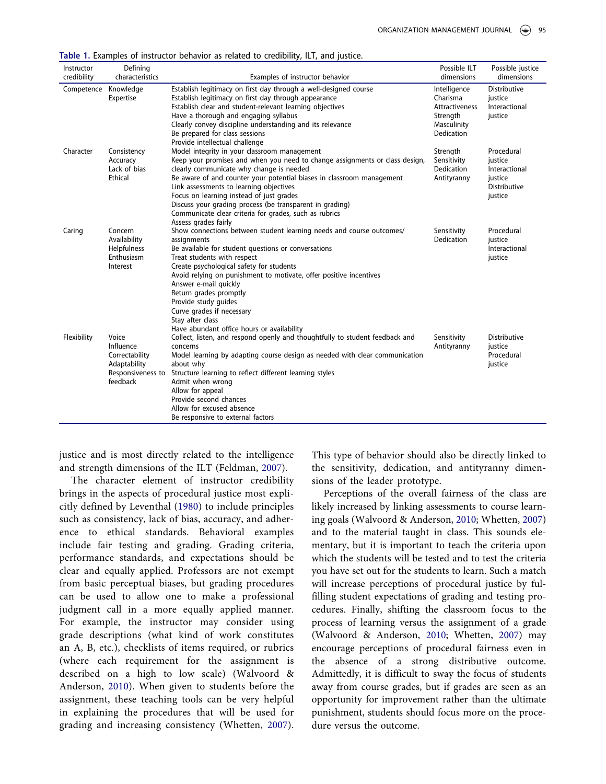<span id="page-6-0"></span>Table 1. Examples of instructor behavior as related to credibility, ILT, and justice.

| Instructor  | Defining          |                                                                              | Possible ILT              | Possible justice    |
|-------------|-------------------|------------------------------------------------------------------------------|---------------------------|---------------------|
| credibility | characteristics   | Examples of instructor behavior                                              | dimensions                | dimensions          |
| Competence  | Knowledge         | Establish legitimacy on first day through a well-designed course             | Intelligence              | Distributive        |
|             | Expertise         | Establish legitimacy on first day through appearance                         | Charisma                  | justice             |
|             |                   | Establish clear and student-relevant learning objectives                     | Attractiveness            | Interactional       |
|             |                   | Have a thorough and engaging syllabus                                        | Strength                  | justice             |
|             |                   | Clearly convey discipline understanding and its relevance                    | Masculinity               |                     |
|             |                   | Be prepared for class sessions                                               | Dedication                |                     |
|             |                   | Provide intellectual challenge                                               |                           |                     |
| Character   | Consistency       | Model integrity in your classroom management                                 | Strength                  | Procedural          |
|             | Accuracy          | Keep your promises and when you need to change assignments or class design,  | Sensitivity               | justice             |
|             | Lack of bias      | clearly communicate why change is needed                                     | Dedication                | Interactional       |
|             | Ethical           | Be aware of and counter your potential biases in classroom management        | Antityranny               | justice             |
|             |                   | Link assessments to learning objectives                                      |                           | <b>Distributive</b> |
|             |                   | Focus on learning instead of just grades                                     |                           | justice             |
|             |                   | Discuss your grading process (be transparent in grading)                     |                           |                     |
|             |                   | Communicate clear criteria for grades, such as rubrics                       |                           |                     |
|             | Concern           | Assess grades fairly                                                         |                           | Procedural          |
| Caring      | Availability      | Show connections between student learning needs and course outcomes/         | Sensitivity<br>Dedication | justice             |
|             | Helpfulness       | assignments<br>Be available for student questions or conversations           |                           | Interactional       |
|             | Enthusiasm        | Treat students with respect                                                  |                           | justice             |
|             | Interest          | Create psychological safety for students                                     |                           |                     |
|             |                   | Avoid relying on punishment to motivate, offer positive incentives           |                           |                     |
|             |                   | Answer e-mail quickly                                                        |                           |                     |
|             |                   | Return grades promptly                                                       |                           |                     |
|             |                   | Provide study guides                                                         |                           |                     |
|             |                   | Curve grades if necessary                                                    |                           |                     |
|             |                   | Stay after class                                                             |                           |                     |
|             |                   | Have abundant office hours or availability                                   |                           |                     |
| Flexibility | Voice             | Collect, listen, and respond openly and thoughtfully to student feedback and | Sensitivity               | <b>Distributive</b> |
|             | Influence         | concerns                                                                     | Antityranny               | justice             |
|             | Correctability    | Model learning by adapting course design as needed with clear communication  |                           | Procedural          |
|             | Adaptability      | about why                                                                    |                           | justice             |
|             | Responsiveness to | Structure learning to reflect different learning styles                      |                           |                     |
|             | feedback          | Admit when wrong                                                             |                           |                     |
|             |                   | Allow for appeal                                                             |                           |                     |
|             |                   | Provide second chances                                                       |                           |                     |
|             |                   | Allow for excused absence                                                    |                           |                     |
|             |                   | Be responsive to external factors                                            |                           |                     |

justice and is most directly related to the intelligence and strength dimensions of the ILT (Feldman, [2007\)](#page-9-2).

The character element of instructor credibility brings in the aspects of procedural justice most explicitly defined by Leventhal ([1980](#page-9-22)) to include principles such as consistency, lack of bias, accuracy, and adherence to ethical standards. Behavioral examples include fair testing and grading. Grading criteria, performance standards, and expectations should be clear and equally applied. Professors are not exempt from basic perceptual biases, but grading procedures can be used to allow one to make a professional judgment call in a more equally applied manner. For example, the instructor may consider using grade descriptions (what kind of work constitutes an A, B, etc.), checklists of items required, or rubrics (where each requirement for the assignment is described on a high to low scale) (Walvoord & Anderson, [2010\)](#page-11-5). When given to students before the assignment, these teaching tools can be very helpful in explaining the procedures that will be used for grading and increasing consistency (Whetten, [2007\)](#page-11-0).

This type of behavior should also be directly linked to the sensitivity, dedication, and antityranny dimensions of the leader prototype.

Perceptions of the overall fairness of the class are likely increased by linking assessments to course learning goals (Walvoord & Anderson, [2010](#page-11-5); Whetten, [2007](#page-11-0)) and to the material taught in class. This sounds elementary, but it is important to teach the criteria upon which the students will be tested and to test the criteria you have set out for the students to learn. Such a match will increase perceptions of procedural justice by fulfilling student expectations of grading and testing procedures. Finally, shifting the classroom focus to the process of learning versus the assignment of a grade (Walvoord & Anderson, [2010;](#page-11-5) Whetten, [2007](#page-11-0)) may encourage perceptions of procedural fairness even in the absence of a strong distributive outcome. Admittedly, it is difficult to sway the focus of students away from course grades, but if grades are seen as an opportunity for improvement rather than the ultimate punishment, students should focus more on the procedure versus the outcome.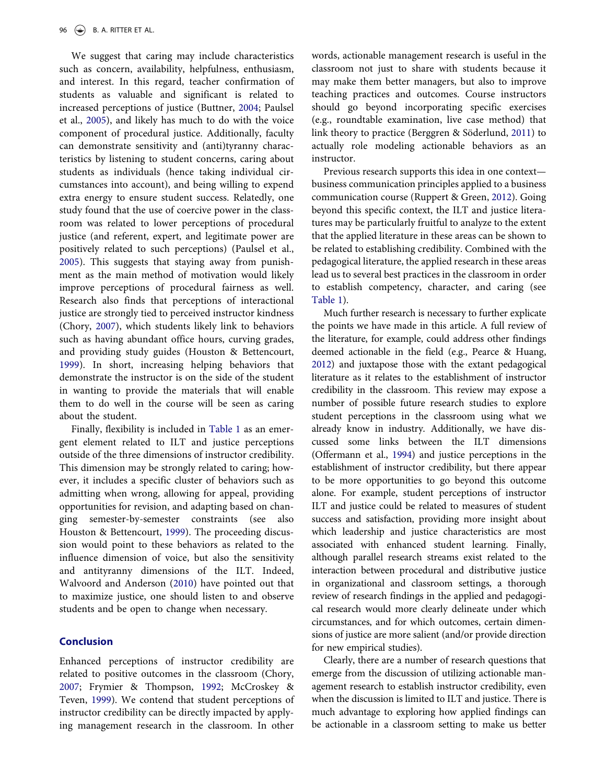We suggest that caring may include characteristics such as concern, availability, helpfulness, enthusiasm, and interest. In this regard, teacher confirmation of students as valuable and significant is related to increased perceptions of justice (Buttner, [2004](#page-8-18); Paulsel et al., [2005](#page-10-22)), and likely has much to do with the voice component of procedural justice. Additionally, faculty can demonstrate sensitivity and (anti)tyranny characteristics by listening to student concerns, caring about students as individuals (hence taking individual circumstances into account), and being willing to expend extra energy to ensure student success. Relatedly, one study found that the use of coercive power in the classroom was related to lower perceptions of procedural justice (and referent, expert, and legitimate power are positively related to such perceptions) (Paulsel et al., [2005](#page-10-22)). This suggests that staying away from punishment as the main method of motivation would likely improve perceptions of procedural fairness as well. Research also finds that perceptions of interactional justice are strongly tied to perceived instructor kindness (Chory, [2007\)](#page-8-0), which students likely link to behaviors such as having abundant office hours, curving grades, and providing study guides (Houston & Bettencourt, [1999](#page-9-28)). In short, increasing helping behaviors that demonstrate the instructor is on the side of the student in wanting to provide the materials that will enable them to do well in the course will be seen as caring about the student.

Finally, flexibility is included in [Table 1](#page-6-0) as an emergent element related to ILT and justice perceptions outside of the three dimensions of instructor credibility. This dimension may be strongly related to caring; however, it includes a specific cluster of behaviors such as admitting when wrong, allowing for appeal, providing opportunities for revision, and adapting based on changing semester-by-semester constraints (see Houston & Bettencourt, [1999](#page-9-28)). The proceeding discussion would point to these behaviors as related to the influence dimension of voice, but also the sensitivity and antityranny dimensions of the ILT. Indeed, Walvoord and Anderson [\(2010](#page-11-5)) have pointed out that to maximize justice, one should listen to and observe students and be open to change when necessary.

#### Conclusion

Enhanced perceptions of instructor credibility are related to positive outcomes in the classroom (Chory, [2007](#page-8-0); Frymier & Thompson, [1992;](#page-9-0) McCroskey & Teven, [1999](#page-10-2)). We contend that student perceptions of instructor credibility can be directly impacted by applying management research in the classroom. In other

words, actionable management research is useful in the classroom not just to share with students because it may make them better managers, but also to improve teaching practices and outcomes. Course instructors should go beyond incorporating specific exercises (e.g., roundtable examination, live case method) that link theory to practice (Berggren & Söderlund, [2011\)](#page-8-19) to actually role modeling actionable behaviors as an instructor.

Previous research supports this idea in one context business communication principles applied to a business communication course (Ruppert & Green, [2012](#page-10-0)). Going beyond this specific context, the ILT and justice literatures may be particularly fruitful to analyze to the extent that the applied literature in these areas can be shown to be related to establishing credibility. Combined with the pedagogical literature, the applied research in these areas lead us to several best practices in the classroom in order to establish competency, character, and caring (see [Table 1](#page-6-0)).

Much further research is necessary to further explicate the points we have made in this article. A full review of the literature, for example, could address other findings deemed actionable in the field (e.g., Pearce & Huang, [2012\)](#page-10-4) and juxtapose those with the extant pedagogical literature as it relates to the establishment of instructor credibility in the classroom. This review may expose a number of possible future research studies to explore student perceptions in the classroom using what we already know in industry. Additionally, we have discussed some links between the ILT dimensions (Offermann et al., [1994](#page-10-19)) and justice perceptions in the establishment of instructor credibility, but there appear to be more opportunities to go beyond this outcome alone. For example, student perceptions of instructor ILT and justice could be related to measures of student success and satisfaction, providing more insight about which leadership and justice characteristics are most associated with enhanced student learning. Finally, although parallel research streams exist related to the interaction between procedural and distributive justice in organizational and classroom settings, a thorough review of research findings in the applied and pedagogical research would more clearly delineate under which circumstances, and for which outcomes, certain dimensions of justice are more salient (and/or provide direction for new empirical studies).

Clearly, there are a number of research questions that emerge from the discussion of utilizing actionable management research to establish instructor credibility, even when the discussion is limited to ILT and justice. There is much advantage to exploring how applied findings can be actionable in a classroom setting to make us better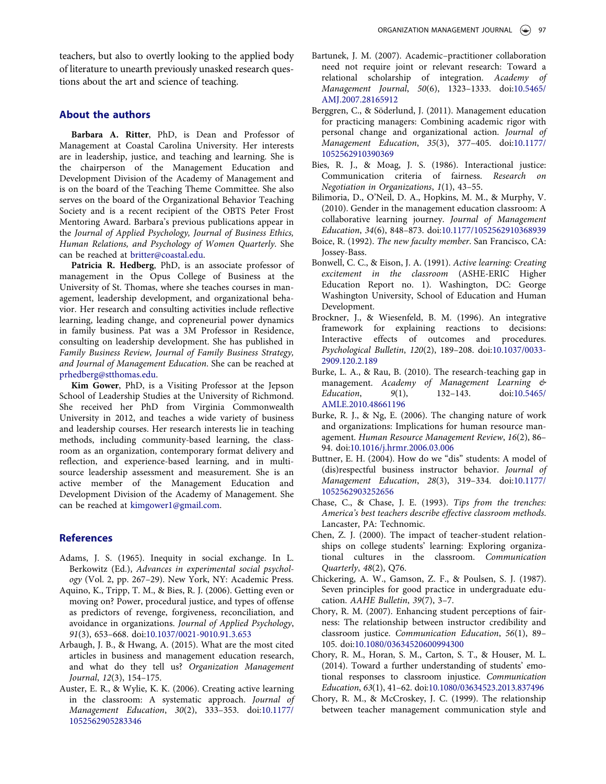teachers, but also to overtly looking to the applied body of literature to unearth previously unasked research questions about the art and science of teaching.

#### About the authors

Barbara A. Ritter, PhD, is Dean and Professor of Management at Coastal Carolina University. Her interests are in leadership, justice, and teaching and learning. She is the chairperson of the Management Education and Development Division of the Academy of Management and is on the board of the Teaching Theme Committee. She also serves on the board of the Organizational Behavior Teaching Society and is a recent recipient of the OBTS Peter Frost Mentoring Award. Barbara's previous publications appear in the Journal of Applied Psychology, Journal of Business Ethics, Human Relations, and Psychology of Women Quarterly. She can be reached at britter@coastal.edu.

Patricia R. Hedberg, PhD, is an associate professor of management in the Opus College of Business at the University of St. Thomas, where she teaches courses in management, leadership development, and organizational behavior. Her research and consulting activities include reflective learning, leading change, and copreneurial power dynamics in family business. Pat was a 3M Professor in Residence, consulting on leadership development. She has published in Family Business Review, Journal of Family Business Strategy, and Journal of Management Education. She can be reached at prhedberg@stthomas.edu.

Kim Gower, PhD, is a Visiting Professor at the Jepson School of Leadership Studies at the University of Richmond. She received her PhD from Virginia Commonwealth University in 2012, and teaches a wide variety of business and leadership courses. Her research interests lie in teaching methods, including community-based learning, the classroom as an organization, contemporary format delivery and reflection, and experience-based learning, and in multisource leadership assessment and measurement. She is an active member of the Management Education and Development Division of the Academy of Management. She can be reached at kimgower1@gmail.com.

#### **References**

- <span id="page-8-17"></span>Adams, J. S. (1965). Inequity in social exchange. In L. Berkowitz (Ed.), Advances in experimental social psychology (Vol. 2, pp. 267–29). New York, NY: Academic Press.
- <span id="page-8-16"></span>Aquino, K., Tripp, T. M., & Bies, R. J. (2006). Getting even or moving on? Power, procedural justice, and types of offense as predictors of revenge, forgiveness, reconciliation, and avoidance in organizations. Journal of Applied Psychology, 91(3), 653–668. doi:[10.1037/0021-9010.91.3.653](http://dx.doi.org/10.1037/0021-9010.91.3.653)
- <span id="page-8-3"></span>Arbaugh, J. B., & Hwang, A. (2015). What are the most cited articles in business and management education research, and what do they tell us? Organization Management Journal, 12(3), 154–175.
- <span id="page-8-8"></span>Auster, E. R., & Wylie, K. K. (2006). Creating active learning in the classroom: A systematic approach. Journal of Management Education, 30(2), 333–353. doi:[10.1177/](http://dx.doi.org/10.1177/1052562905283346) [1052562905283346](http://dx.doi.org/10.1177/1052562905283346)
- <span id="page-8-1"></span>Bartunek, J. M. (2007). Academic–practitioner collaboration need not require joint or relevant research: Toward a relational scholarship of integration. Academy of Management Journal, 50(6), 1323–1333. doi:[10.5465/](http://dx.doi.org/10.5465/AMJ.2007.28165912) [AMJ.2007.28165912](http://dx.doi.org/10.5465/AMJ.2007.28165912)
- <span id="page-8-19"></span>Berggren, C., & Söderlund, J. (2011). Management education for practicing managers: Combining academic rigor with personal change and organizational action. Journal of Management Education, 35(3), 377–405. doi:[10.1177/](http://dx.doi.org/10.1177/1052562910390369) [1052562910390369](http://dx.doi.org/10.1177/1052562910390369)
- <span id="page-8-13"></span>Bies, R. J., & Moag, J. S. (1986). Interactional justice: Communication criteria of fairness. Research on Negotiation in Organizations, 1(1), 43–55.
- <span id="page-8-12"></span>Bilimoria, D., O'Neil, D. A., Hopkins, M. M., & Murphy, V. (2010). Gender in the management education classroom: A collaborative learning journey. Journal of Management Education, 34(6), 848–873. doi:[10.1177/1052562910368939](http://dx.doi.org/10.1177/1052562910368939)
- <span id="page-8-10"></span>Boice, R. (1992). The new faculty member. San Francisco, CA: Jossey-Bass.
- <span id="page-8-9"></span>Bonwell, C. C., & Eison, J. A. (1991). Active learning: Creating excitement in the classroom (ASHE-ERIC Higher Education Report no. 1). Washington, DC: George Washington University, School of Education and Human Development.
- <span id="page-8-15"></span>Brockner, J., & Wiesenfeld, B. M. (1996). An integrative framework for explaining reactions to decisions: Interactive effects of outcomes and procedures. Psychological Bulletin, 120(2), 189–208. doi:[10.1037/0033-](http://dx.doi.org/10.1037/0033-2909.120.2.189) [2909.120.2.189](http://dx.doi.org/10.1037/0033-2909.120.2.189)
- <span id="page-8-2"></span>Burke, L. A., & Rau, B. (2010). The research-teaching gap in management. Academy of Management Learning & Education, 9(1), 132–143. doi:[10.5465/](http://dx.doi.org/10.5465/AMLE.2010.48661196) [AMLE.2010.48661196](http://dx.doi.org/10.5465/AMLE.2010.48661196)
- <span id="page-8-11"></span>Burke, R. J., & Ng, E. (2006). The changing nature of work and organizations: Implications for human resource management. Human Resource Management Review, 16(2), 86– 94. doi:[10.1016/j.hrmr.2006.03.006](http://dx.doi.org/10.1016/j.hrmr.2006.03.006)
- <span id="page-8-18"></span>Buttner, E. H. (2004). How do we "dis" students: A model of (dis)respectful business instructor behavior. Journal of Management Education, 28(3), 319–334. doi:[10.1177/](http://dx.doi.org/10.1177/1052562903252656) [1052562903252656](http://dx.doi.org/10.1177/1052562903252656)
- <span id="page-8-6"></span>Chase, C., & Chase, J. E. (1993). Tips from the trenches: America's best teachers describe effective classroom methods. Lancaster, PA: Technomic.
- <span id="page-8-7"></span>Chen, Z. J. (2000). The impact of teacher-student relationships on college students' learning: Exploring organizational cultures in the classroom. Communication Quarterly, 48(2), Q76.
- <span id="page-8-4"></span>Chickering, A. W., Gamson, Z. F., & Poulsen, S. J. (1987). Seven principles for good practice in undergraduate education. AAHE Bulletin, 39(7), 3–7.
- <span id="page-8-0"></span>Chory, R. M. (2007). Enhancing student perceptions of fairness: The relationship between instructor credibility and classroom justice. Communication Education, 56(1), 89– 105. doi:[10.1080/03634520600994300](http://dx.doi.org/10.1080/03634520600994300)
- <span id="page-8-14"></span>Chory, R. M., Horan, S. M., Carton, S. T., & Houser, M. L. (2014). Toward a further understanding of students' emotional responses to classroom injustice. Communication Education, 63(1), 41–62. doi:[10.1080/03634523.2013.837496](http://dx.doi.org/10.1080/03634523.2013.837496)
- <span id="page-8-5"></span>Chory, R. M., & McCroskey, J. C. (1999). The relationship between teacher management communication style and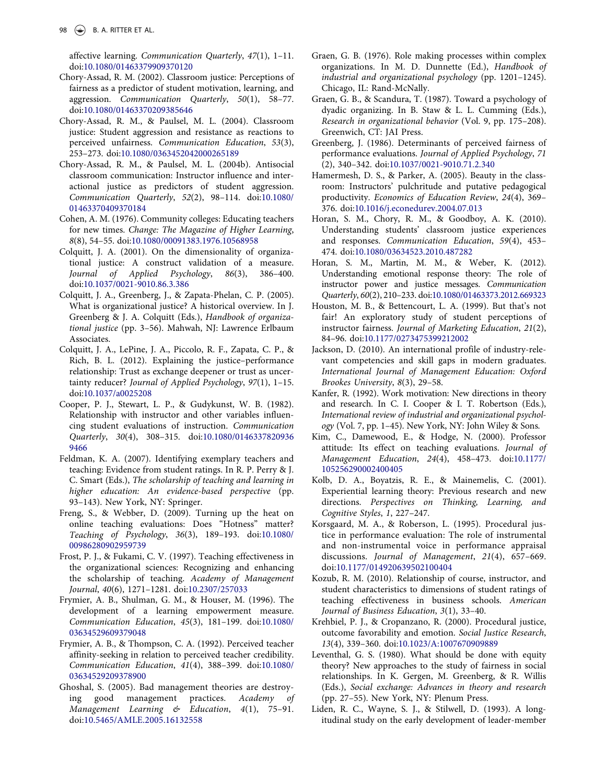affective learning. Communication Quarterly, 47(1), 1–11. doi:[10.1080/01463379909370120](http://dx.doi.org/10.1080/01463379909370120)

- <span id="page-9-1"></span>Chory-Assad, R. M. (2002). Classroom justice: Perceptions of fairness as a predictor of student motivation, learning, and aggression. Communication Quarterly, 50(1), 58–77. doi:[10.1080/01463370209385646](http://dx.doi.org/10.1080/01463370209385646)
- <span id="page-9-21"></span>Chory-Assad, R. M., & Paulsel, M. L. (2004). Classroom justice: Student aggression and resistance as reactions to perceived unfairness. Communication Education, 53(3), 253–273. doi:[10.1080/0363452042000265189](http://dx.doi.org/10.1080/0363452042000265189)
- Chory-Assad, R. M., & Paulsel, M. L. (2004b). Antisocial classroom communication: Instructor influence and interactional justice as predictors of student aggression. Communication Quarterly, 52(2), 98–114. doi:[10.1080/](http://dx.doi.org/10.1080/01463370409370184) [01463370409370184](http://dx.doi.org/10.1080/01463370409370184)
- <span id="page-9-5"></span>Cohen, A. M. (1976). Community colleges: Educating teachers for new times. Change: The Magazine of Higher Learning, 8(8), 54–55. doi:[10.1080/00091383.1976.10568958](http://dx.doi.org/10.1080/00091383.1976.10568958)
- <span id="page-9-17"></span>Colquitt, J. A. (2001). On the dimensionality of organizational justice: A construct validation of a measure. Journal of Applied Psychology, 86(3), 386–400. doi:[10.1037/0021-9010.86.3.386](http://dx.doi.org/10.1037/0021-9010.86.3.386)
- <span id="page-9-18"></span>Colquitt, J. A., Greenberg, J., & Zapata-Phelan, C. P. (2005). What is organizational justice? A historical overview. In J. Greenberg & J. A. Colquitt (Eds.), Handbook of organizational justice (pp. 3–56). Mahwah, NJ: Lawrence Erlbaum Associates.
- <span id="page-9-19"></span>Colquitt, J. A., LePine, J. A., Piccolo, R. F., Zapata, C. P., & Rich, B. L. (2012). Explaining the justice–performance relationship: Trust as exchange deepener or trust as uncertainty reducer? Journal of Applied Psychology, 97(1), 1–15. doi:[10.1037/a0025208](http://dx.doi.org/10.1037/a0025208)
- <span id="page-9-26"></span>Cooper, P. J., Stewart, L. P., & Gudykunst, W. B. (1982). Relationship with instructor and other variables influencing student evaluations of instruction. Communication Quarterly, 30(4), 308–315. doi:[10.1080/0146337820936](http://dx.doi.org/10.1080/01463378209369466) [9466](http://dx.doi.org/10.1080/01463378209369466)
- <span id="page-9-2"></span>Feldman, K. A. (2007). Identifying exemplary teachers and teaching: Evidence from student ratings. In R. P. Perry & J. C. Smart (Eds.), The scholarship of teaching and learning in higher education: An evidence-based perspective (pp. 93–143). New York, NY: Springer.
- <span id="page-9-14"></span>Freng, S., & Webber, D. (2009). Turning up the heat on online teaching evaluations: Does "Hotness" matter? Teaching of Psychology, 36(3), 189–193. doi:[10.1080/](http://dx.doi.org/10.1080/00986280902959739) [00986280902959739](http://dx.doi.org/10.1080/00986280902959739)
- <span id="page-9-8"></span>Frost, P. J., & Fukami, C. V. (1997). Teaching effectiveness in the organizational sciences: Recognizing and enhancing the scholarship of teaching. Academy of Management Journal, 40(6), 1271–1281. doi:[10.2307/257033](http://dx.doi.org/10.2307/257033)
- <span id="page-9-4"></span>Frymier, A. B., Shulman, G. M., & Houser, M. (1996). The development of a learning empowerment measure. Communication Education, 45(3), 181–199. doi:[10.1080/](http://dx.doi.org/10.1080/03634529609379048) [03634529609379048](http://dx.doi.org/10.1080/03634529609379048)
- <span id="page-9-0"></span>Frymier, A. B., & Thompson, C. A. (1992). Perceived teacher affinity-seeking in relation to perceived teacher credibility. Communication Education, 41(4), 388–399. doi:[10.1080/](http://dx.doi.org/10.1080/03634529209378900) [03634529209378900](http://dx.doi.org/10.1080/03634529209378900)
- <span id="page-9-11"></span>Ghoshal, S. (2005). Bad management theories are destroying good management practices. Academy of Management Learning & Education, 4(1), 75–91. doi:[10.5465/AMLE.2005.16132558](http://dx.doi.org/10.5465/AMLE.2005.16132558)
- <span id="page-9-6"></span>Graen, G. B. (1976). Role making processes within complex organizations. In M. D. Dunnette (Ed.), Handbook of industrial and organizational psychology (pp. 1201–1245). Chicago, IL: Rand-McNally.
- <span id="page-9-7"></span>Graen, G. B., & Scandura, T. (1987). Toward a psychology of dyadic organizing. In B. Staw & L. L. Cumming (Eds.), Research in organizational behavior (Vol. 9, pp. 175–208). Greenwich, CT: JAI Press.
- <span id="page-9-24"></span>Greenberg, J. (1986). Determinants of perceived fairness of performance evaluations. Journal of Applied Psychology, 71 (2), 340–342. doi:[10.1037/0021-9010.71.2.340](http://dx.doi.org/10.1037/0021-9010.71.2.340)
- <span id="page-9-15"></span>Hamermesh, D. S., & Parker, A. (2005). Beauty in the classroom: Instructors' pulchritude and putative pedagogical productivity. Economics of Education Review, 24(4), 369– 376. doi:[10.1016/j.econedurev.2004.07.013](http://dx.doi.org/10.1016/j.econedurev.2004.07.013)
- <span id="page-9-3"></span>Horan, S. M., Chory, R. M., & Goodboy, A. K. (2010). Understanding students' classroom justice experiences and responses. Communication Education, 59(4), 453– 474. doi:[10.1080/03634523.2010.487282](http://dx.doi.org/10.1080/03634523.2010.487282)
- <span id="page-9-25"></span>Horan, S. M., Martin, M. M., & Weber, K. (2012). Understanding emotional response theory: The role of instructor power and justice messages. Communication Quarterly, 60(2), 210–233. doi:[10.1080/01463373.2012.669323](http://dx.doi.org/10.1080/01463373.2012.669323)
- <span id="page-9-28"></span>Houston, M. B., & Bettencourt, L. A. (1999). But that's not fair! An exploratory study of student perceptions of instructor fairness. Journal of Marketing Education, 21(2), 84–96. doi:[10.1177/0273475399212002](http://dx.doi.org/10.1177/0273475399212002)
- <span id="page-9-12"></span>Jackson, D. (2010). An international profile of industry-relevant competencies and skill gaps in modern graduates. International Journal of Management Education: Oxford Brookes University, 8(3), 29–58.
- <span id="page-9-20"></span>Kanfer, R. (1992). Work motivation: New directions in theory and research. In C. I. Cooper & I. T. Robertson (Eds.), International review of industrial and organizational psychology (Vol. 7, pp. 1–45). New York, NY: John Wiley & Sons.
- <span id="page-9-13"></span>Kim, C., Damewood, E., & Hodge, N. (2000). Professor attitude: Its effect on teaching evaluations. Journal of Management Education, 24(4), 458–473. doi:[10.1177/](http://dx.doi.org/10.1177/105256290002400405) [105256290002400405](http://dx.doi.org/10.1177/105256290002400405)
- <span id="page-9-9"></span>Kolb, D. A., Boyatzis, R. E., & Mainemelis, C. (2001). Experiential learning theory: Previous research and new directions. Perspectives on Thinking, Learning, and Cognitive Styles, 1, 227–247.
- <span id="page-9-23"></span>Korsgaard, M. A., & Roberson, L. (1995). Procedural justice in performance evaluation: The role of instrumental and non-instrumental voice in performance appraisal discussions. Journal of Management, 21(4), 657–669. doi:[10.1177/014920639502100404](http://dx.doi.org/10.1177/014920639502100404)
- <span id="page-9-16"></span>Kozub, R. M. (2010). Relationship of course, instructor, and student characteristics to dimensions of student ratings of teaching effectiveness in business schools. American Journal of Business Education, 3(1), 33–40.
- <span id="page-9-27"></span>Krehbiel, P. J., & Cropanzano, R. (2000). Procedural justice, outcome favorability and emotion. Social Justice Research, 13(4), 339–360. doi:[10.1023/A:1007670909889](http://dx.doi.org/10.1023/A:1007670909889)
- <span id="page-9-22"></span>Leventhal, G. S. (1980). What should be done with equity theory? New approaches to the study of fairness in social relationships. In K. Gergen, M. Greenberg, & R. Willis (Eds.), Social exchange: Advances in theory and research (pp. 27–55). New York, NY: Plenum Press.
- <span id="page-9-10"></span>Liden, R. C., Wayne, S. J., & Stilwell, D. (1993). A longitudinal study on the early development of leader-member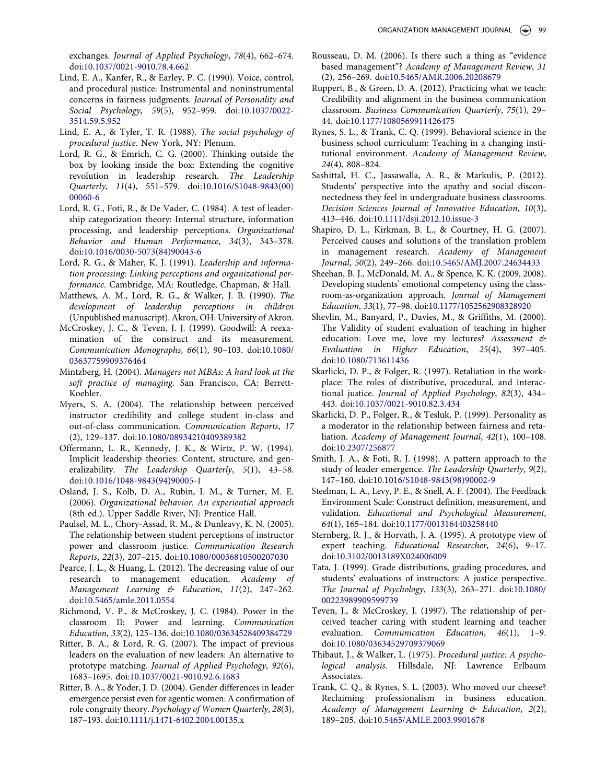exchanges. Journal of Applied Psychology, 78(4), 662–674. doi:[10.1037/0021-9010.78.4.662](http://dx.doi.org/10.1037/0021-9010.78.4.662)

- <span id="page-10-28"></span>Lind, E. A., Kanfer, R., & Earley, P. C. (1990). Voice, control, and procedural justice: Instrumental and noninstrumental concerns in fairness judgments. Journal of Personality and Social Psychology, 59(5), 952–959. doi:[10.1037/0022-](http://dx.doi.org/10.1037/0022-3514.59.5.952) [3514.59.5.952](http://dx.doi.org/10.1037/0022-3514.59.5.952)
- <span id="page-10-29"></span>Lind, E. A., & Tyler, T. R. (1988). The social psychology of procedural justice. New York, NY: Plenum.
- <span id="page-10-12"></span>Lord, R. G., & Emrich, C. G. (2000). Thinking outside the box by looking inside the box: Extending the cognitive revolution in leadership research. The Leadership Quarterly, 11(4), 551–579. doi:[10.1016/S1048-9843\(00\)](http://dx.doi.org/10.1016/S1048-9843(00)00060-6) [00060-6](http://dx.doi.org/10.1016/S1048-9843(00)00060-6)
- <span id="page-10-11"></span>Lord, R. G., Foti, R., & De Vader, C. (1984). A test of leadership categorization theory: Internal structure, information processing, and leadership perceptions. Organizational Behavior and Human Performance, 34(3), 343–378. doi:[10.1016/0030-5073\(84\)90043-6](http://dx.doi.org/10.1016/0030-5073(84)90043-6)
- <span id="page-10-20"></span>Lord, R. G., & Maher, K. J. (1991). Leadership and information processing: Linking perceptions and organizational performance. Cambridge, MA: Routledge, Chapman, & Hall.
- <span id="page-10-17"></span>Matthews, A. M., Lord, R. G., & Walker, J. B. (1990). The development of leadership perceptions in children (Unpublished manuscript). Akron, OH: University of Akron.
- <span id="page-10-2"></span>McCroskey, J. C., & Teven, J. J. (1999). Goodwill: A reexamination of the construct and its measurement. Communication Monographs, 66(1), 90–103. doi:[10.1080/](http://dx.doi.org/10.1080/03637759909376464) [03637759909376464](http://dx.doi.org/10.1080/03637759909376464)
- <span id="page-10-16"></span>Mintzberg, H. (2004). Managers not MBAs: A hard look at the soft practice of managing. San Francisco, CA: Berrett-Koehler.
- <span id="page-10-3"></span>Myers, S. A. (2004). The relationship between perceived instructor credibility and college student in-class and out-of-class communication. Communication Reports, 17 (2), 129–137. doi:[10.1080/08934210409389382](http://dx.doi.org/10.1080/08934210409389382)
- <span id="page-10-19"></span>Offermann, L. R., Kennedy, J. K., & Wirtz, P. W. (1994). Implicit leadership theories: Content, structure, and generalizability. The Leadership Quarterly, 5(1), 43–58. doi:[10.1016/1048-9843\(94\)90005-1](http://dx.doi.org/10.1016/1048-9843(94)90005-1)
- <span id="page-10-7"></span>Osland, J. S., Kolb, D. A., Rubin, I. M., & Turner, M. E. (2006). Organizational behavior: An experiential approach (8th ed.). Upper Saddle River, NJ: Prentice Hall.
- <span id="page-10-22"></span>Paulsel, M. L., Chory-Assad, R. M., & Dunleavy, K. N. (2005). The relationship between student perceptions of instructor power and classroom justice. Communication Research Reports, 22(3), 207–215. doi:[10.1080/00036810500207030](http://dx.doi.org/10.1080/00036810500207030)
- <span id="page-10-4"></span>Pearce, J. L., & Huang, L. (2012). The decreasing value of our research to management education. Academy of Management Learning & Education, 11(2), 247–262. doi:[10.5465/amle.2011.0554](http://dx.doi.org/10.5465/amle.2011.0554)
- <span id="page-10-31"></span>Richmond, V. P., & McCroskey, J. C. (1984). Power in the classroom II: Power and learning. Communication Education, 33(2), 125–136. doi:[10.1080/03634528409384729](http://dx.doi.org/10.1080/03634528409384729)
- <span id="page-10-10"></span>Ritter, B. A., & Lord, R. G. (2007). The impact of previous leaders on the evaluation of new leaders: An alternative to prototype matching. Journal of Applied Psychology, 92(6), 1683–1695. doi:[10.1037/0021-9010.92.6.1683](http://dx.doi.org/10.1037/0021-9010.92.6.1683)
- <span id="page-10-24"></span>Ritter, B. A., & Yoder, J. D. (2004). Gender differences in leader emergence persist even for agentic women: A confirmation of role congruity theory. Psychology of Women Quarterly, 28(3), 187–193. doi:[10.1111/j.1471-6402.2004.00135.x](http://dx.doi.org/10.1111/j.1471-6402.2004.00135.x)
- <span id="page-10-5"></span>Rousseau, D. M. (2006). Is there such a thing as "evidence based management"? Academy of Management Review, 31 (2), 256–269. doi:[10.5465/AMR.2006.20208679](http://dx.doi.org/10.5465/AMR.2006.20208679)
- <span id="page-10-0"></span>Ruppert, B., & Green, D. A. (2012). Practicing what we teach: Credibility and alignment in the business communication classroom. Business Communication Quarterly, 75(1), 29– 44. doi:[10.1177/1080569911426475](http://dx.doi.org/10.1177/1080569911426475)
- <span id="page-10-14"></span>Rynes, S. L., & Trank, C. Q. (1999). Behavioral science in the business school curriculum: Teaching in a changing institutional environment. Academy of Management Review, 24(4), 808–824.
- <span id="page-10-13"></span>Sashittal, H. C., Jassawalla, A. R., & Markulis, P. (2012). Students' perspective into the apathy and social disconnectedness they feel in undergraduate business classrooms. Decision Sciences Journal of Innovative Education, 10(3), 413–446. doi:[10.1111/dsji.2012.10.issue-3](http://dx.doi.org/10.1111/dsji.2012.10.issue-3)
- <span id="page-10-6"></span>Shapiro, D. L., Kirkman, B. L., & Courtney, H. G. (2007). Perceived causes and solutions of the translation problem in management research. Academy of Management Journal, 50(2), 249–266. doi:[10.5465/AMJ.2007.24634433](http://dx.doi.org/10.5465/AMJ.2007.24634433)
- <span id="page-10-9"></span>Sheehan, B. J., McDonald, M. A., & Spence, K. K. (2009, 2008). Developing students' emotional competency using the classroom-as-organization approach. Journal of Management Education, 33(1), 77–98. doi:[10.1177/1052562908328920](http://dx.doi.org/10.1177/1052562908328920)
- <span id="page-10-23"></span>Shevlin, M., Banyard, P., Davies, M., & Griffiths, M. (2000). The Validity of student evaluation of teaching in higher education: Love me, love my lectures? Assessment & Evaluation in Higher Education, 25(4), 397–405. doi:[10.1080/713611436](http://dx.doi.org/10.1080/713611436)
- <span id="page-10-25"></span>Skarlicki, D. P., & Folger, R. (1997). Retaliation in the workplace: The roles of distributive, procedural, and interactional justice. Journal of Applied Psychology, 82(3), 434– 443. doi:[10.1037/0021-9010.82.3.434](http://dx.doi.org/10.1037/0021-9010.82.3.434)
- <span id="page-10-26"></span>Skarlicki, D. P., Folger, R., & Tesluk, P. (1999). Personality as a moderator in the relationship between fairness and retaliation. Academy of Management Journal, 42(1), 100–108. doi:[10.2307/256877](http://dx.doi.org/10.2307/256877)
- <span id="page-10-18"></span>Smith, J. A., & Foti, R. J. (1998). A pattern approach to the study of leader emergence. The Leadership Quarterly, 9(2), 147–160. doi:[10.1016/S1048-9843\(98\)90002-9](http://dx.doi.org/10.1016/S1048-9843(98)90002-9)
- <span id="page-10-8"></span>Steelman, L. A., Levy, P. E., & Snell, A. F. (2004). The Feedback Environment Scale: Construct definition, measurement, and validation. Educational and Psychological Measurement, 64(1), 165–184. doi:[10.1177/0013164403258440](http://dx.doi.org/10.1177/0013164403258440)
- <span id="page-10-21"></span>Sternberg, R. J., & Horvath, J. A. (1995). A prototype view of expert teaching. Educational Researcher, 24(6), 9–17. doi:[10.3102/0013189X024006009](http://dx.doi.org/10.3102/0013189X024006009)
- <span id="page-10-30"></span>Tata, J. (1999). Grade distributions, grading procedures, and students' evaluations of instructors: A justice perspective. The Journal of Psychology, 133(3), 263–271. doi:[10.1080/](http://dx.doi.org/10.1080/00223989909599739) [00223989909599739](http://dx.doi.org/10.1080/00223989909599739)
- <span id="page-10-1"></span>Teven, J., & McCroskey, J. (1997). The relationship of perceived teacher caring with student learning and teacher evaluation. Communication Education, 46(1), 1–9. doi:[10.1080/03634529709379069](http://dx.doi.org/10.1080/03634529709379069)
- <span id="page-10-27"></span>Thibaut, J., & Walker, L. (1975). Procedural justice: A psychological analysis. Hillsdale, NJ: Lawrence Erlbaum Associates.
- <span id="page-10-15"></span>Trank, C. Q., & Rynes, S. L. (2003). Who moved our cheese? Reclaiming professionalism in business education. Academy of Management Learning & Education, 2(2), 189–205. doi:[10.5465/AMLE.2003.9901678](http://dx.doi.org/10.5465/AMLE.2003.9901678)